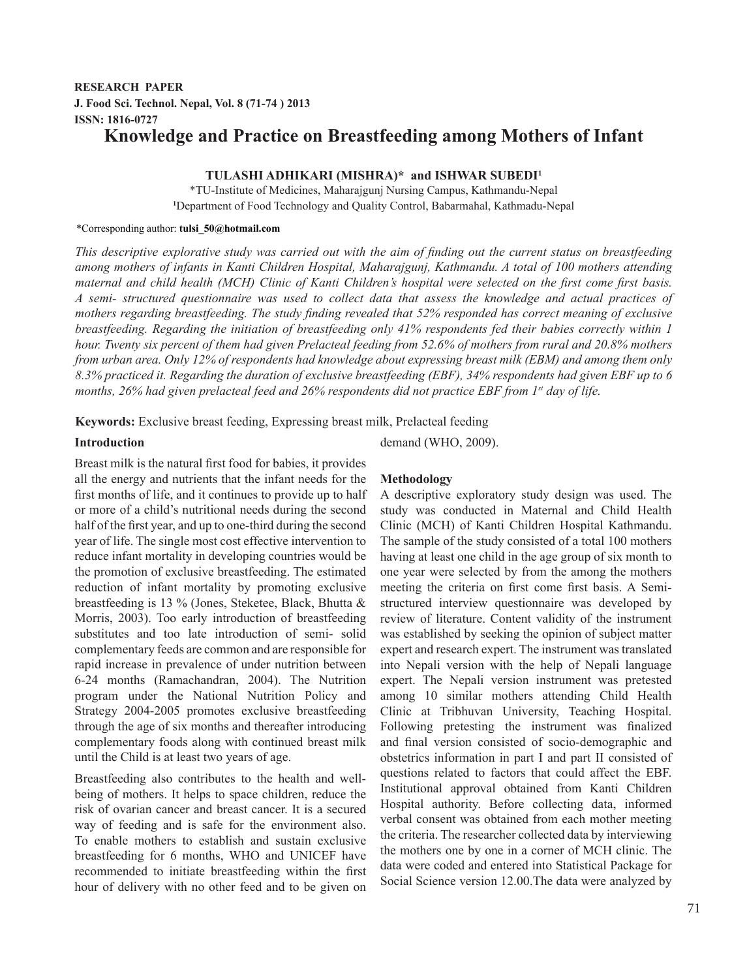# **RESEARCH PAPER J. Food Sci. Technol. Nepal, Vol. 8 (71-74 ) 2013 ISSN: 1816-0727 Knowledge and Practice on Breastfeeding among Mothers of Infant**

## **TULASHI ADHIKARI (MISHRA)\* and ISHWAR SUBEDI1**

\*TU-Institute of Medicines, Maharajgunj Nursing Campus, Kathmandu-Nepal **1** Department of Food Technology and Quality Control, Babarmahal, Kathmadu-Nepal

#### \*Corresponding author: **tulsi\_50@hotmail.com**

*This descriptive explorative study was carried out with the aim of finding out the current status on breastfeeding among mothers of infants in Kanti Children Hospital, Maharajgunj, Kathmandu. A total of 100 mothers attending maternal and child health (MCH) Clinic of Kanti Children's hospital were selected on the first come first basis. A semi- structured questionnaire was used to collect data that assess the knowledge and actual practices of mothers regarding breastfeeding. The study finding revealed that 52% responded has correct meaning of exclusive breastfeeding. Regarding the initiation of breastfeeding only 41% respondents fed their babies correctly within 1 hour. Twenty six percent of them had given Prelacteal feeding from 52.6% of mothers from rural and 20.8% mothers from urban area. Only 12% of respondents had knowledge about expressing breast milk (EBM) and among them only 8.3% practiced it. Regarding the duration of exclusive breastfeeding (EBF), 34% respondents had given EBF up to 6 months, 26% had given prelacteal feed and 26% respondents did not practice EBF from 1st day of life.*

**Keywords:** Exclusive breast feeding, Expressing breast milk, Prelacteal feeding

### **Introduction**

Breast milk is the natural first food for babies, it provides all the energy and nutrients that the infant needs for the first months of life, and it continues to provide up to half or more of a child's nutritional needs during the second half of the first year, and up to one-third during the second year of life. The single most cost effective intervention to reduce infant mortality in developing countries would be the promotion of exclusive breastfeeding. The estimated reduction of infant mortality by promoting exclusive breastfeeding is 13 % (Jones, Steketee, Black, Bhutta & Morris, 2003). Too early introduction of breastfeeding substitutes and too late introduction of semi- solid complementary feeds are common and are responsible for rapid increase in prevalence of under nutrition between 6-24 months (Ramachandran, 2004). The Nutrition program under the National Nutrition Policy and Strategy 2004-2005 promotes exclusive breastfeeding through the age of six months and thereafter introducing complementary foods along with continued breast milk until the Child is at least two years of age.

Breastfeeding also contributes to the health and wellbeing of mothers. It helps to space children, reduce the risk of ovarian cancer and breast cancer. It is a secured way of feeding and is safe for the environment also. To enable mothers to establish and sustain exclusive breastfeeding for 6 months, WHO and UNICEF have recommended to initiate breastfeeding within the first hour of delivery with no other feed and to be given on demand (WHO, 2009).

## **Methodology**

A descriptive exploratory study design was used. The study was conducted in Maternal and Child Health Clinic (MCH) of Kanti Children Hospital Kathmandu. The sample of the study consisted of a total 100 mothers having at least one child in the age group of six month to one year were selected by from the among the mothers meeting the criteria on first come first basis. A Semistructured interview questionnaire was developed by review of literature. Content validity of the instrument was established by seeking the opinion of subject matter expert and research expert. The instrument was translated into Nepali version with the help of Nepali language expert. The Nepali version instrument was pretested among 10 similar mothers attending Child Health Clinic at Tribhuvan University, Teaching Hospital. Following pretesting the instrument was finalized and final version consisted of socio-demographic and obstetrics information in part I and part II consisted of questions related to factors that could affect the EBF. Institutional approval obtained from Kanti Children Hospital authority. Before collecting data, informed verbal consent was obtained from each mother meeting the criteria. The researcher collected data by interviewing the mothers one by one in a corner of MCH clinic. The data were coded and entered into Statistical Package for Social Science version 12.00.The data were analyzed by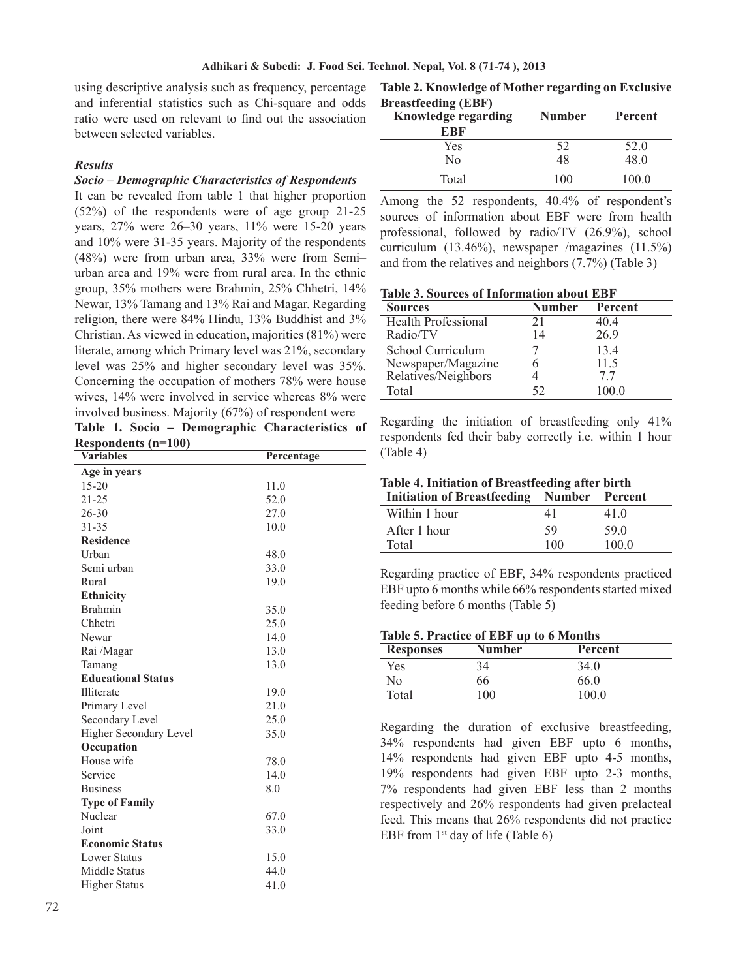using descriptive analysis such as frequency, percentage and inferential statistics such as Chi-square and odds ratio were used on relevant to find out the association between selected variables.

## *Results*

## *Socio – Demographic Characteristics of Respondents*

It can be revealed from table 1 that higher proportion (52%) of the respondents were of age group 21-25 years, 27% were 26–30 years, 11% were 15-20 years and 10% were 31-35 years. Majority of the respondents (48%) were from urban area, 33% were from Semi– urban area and 19% were from rural area. In the ethnic group, 35% mothers were Brahmin, 25% Chhetri, 14% Newar, 13% Tamang and 13% Rai and Magar. Regarding religion, there were 84% Hindu, 13% Buddhist and 3% Christian. As viewed in education, majorities (81%) were literate, among which Primary level was 21%, secondary level was 25% and higher secondary level was 35%. Concerning the occupation of mothers 78% were house wives, 14% were involved in service whereas 8% were involved business. Majority (67%) of respondent were

**Table 1. Socio – Demographic Characteristics of Respondents (n=100)**

| respondents (n. 100)          |            |
|-------------------------------|------------|
| <b>Variables</b>              | Percentage |
| Age in years                  |            |
| $15 - 20$                     | 11.0       |
| $21 - 25$                     | 52.0       |
| $26 - 30$                     | 27.0       |
| $31 - 35$                     | 10.0       |
| <b>Residence</b>              |            |
| Urban                         | 48.0       |
| Semi urban                    | 33.0       |
| Rural                         | 19.0       |
| <b>Ethnicity</b>              |            |
| <b>Brahmin</b>                | 35.0       |
| Chhetri                       | 25.0       |
| Newar                         | 14.0       |
| Rai /Magar                    | 13.0       |
| Tamang                        | 13.0       |
| <b>Educational Status</b>     |            |
| Illiterate                    | 19.0       |
| Primary Level                 | 21.0       |
| Secondary Level               | 25.0       |
| <b>Higher Secondary Level</b> | 35.0       |
| Occupation                    |            |
| House wife                    | 78.0       |
| Service                       | 14.0       |
| <b>Business</b>               | 8.0        |
| <b>Type of Family</b>         |            |
| Nuclear                       | 67.0       |
| Joint                         | 33.0       |
| <b>Economic Status</b>        |            |
| <b>Lower Status</b>           | 15.0       |
| Middle Status                 | 44.0       |
| <b>Higher Status</b>          | 41.0       |
|                               |            |

**Table 2. Knowledge of Mother regarding on Exclusive Breastfeeding (EBF)**

| $\mu$                      |               |         |  |  |  |  |
|----------------------------|---------------|---------|--|--|--|--|
| <b>Knowledge regarding</b> | <b>Number</b> | Percent |  |  |  |  |
| EBF                        |               |         |  |  |  |  |
| Yes                        | 52            | 52.0    |  |  |  |  |
| Nο                         | 48            | 48.0    |  |  |  |  |
| Total                      | 100           | 100.0   |  |  |  |  |

Among the 52 respondents, 40.4% of respondent's sources of information about EBF were from health professional, followed by radio/TV (26.9%), school curriculum (13.46%), newspaper /magazines (11.5%) and from the relatives and neighbors (7.7%) (Table 3)

|--|

| <b>Sources</b>                            | <b>Number</b> | Percent |
|-------------------------------------------|---------------|---------|
| <b>Health Professional</b>                | 21            | 40.4    |
| Radio/TV                                  | 14            | 26.9    |
| School Curriculum                         |               | 13.4    |
| Newspaper/Magazine<br>Relatives/Neighbors |               | 11.5    |
|                                           |               | 77      |
| Total                                     | 52            | 100.0   |

Regarding the initiation of breastfeeding only 41% respondents fed their baby correctly i.e. within 1 hour (Table 4)

| Table 4. Initiation of Breastfeeding after birth  |     |       |  |  |  |
|---------------------------------------------------|-----|-------|--|--|--|
| <b>Initiation of Breastfeeding Number Percent</b> |     |       |  |  |  |
| Within 1 hour                                     | 41  | 41.0  |  |  |  |
| After 1 hour                                      | 59  | 59.0  |  |  |  |
| Total                                             | 100 | 100.0 |  |  |  |

Regarding practice of EBF, 34% respondents practiced EBF upto 6 months while 66% respondents started mixed feeding before 6 months (Table 5)

## **Table 5. Practice of EBF up to 6 Months**

| <b>Responses</b> | <b>Number</b> | Percent |  |
|------------------|---------------|---------|--|
| Yes              | 34            | 34.0    |  |
| Nο               | 66            | 66.0    |  |
| Total            | 100           | 100.0   |  |

Regarding the duration of exclusive breastfeeding, 34% respondents had given EBF upto 6 months, 14% respondents had given EBF upto 4-5 months, 19% respondents had given EBF upto 2-3 months, 7% respondents had given EBF less than 2 months respectively and 26% respondents had given prelacteal feed. This means that 26% respondents did not practice EBF from  $1<sup>st</sup>$  day of life (Table 6)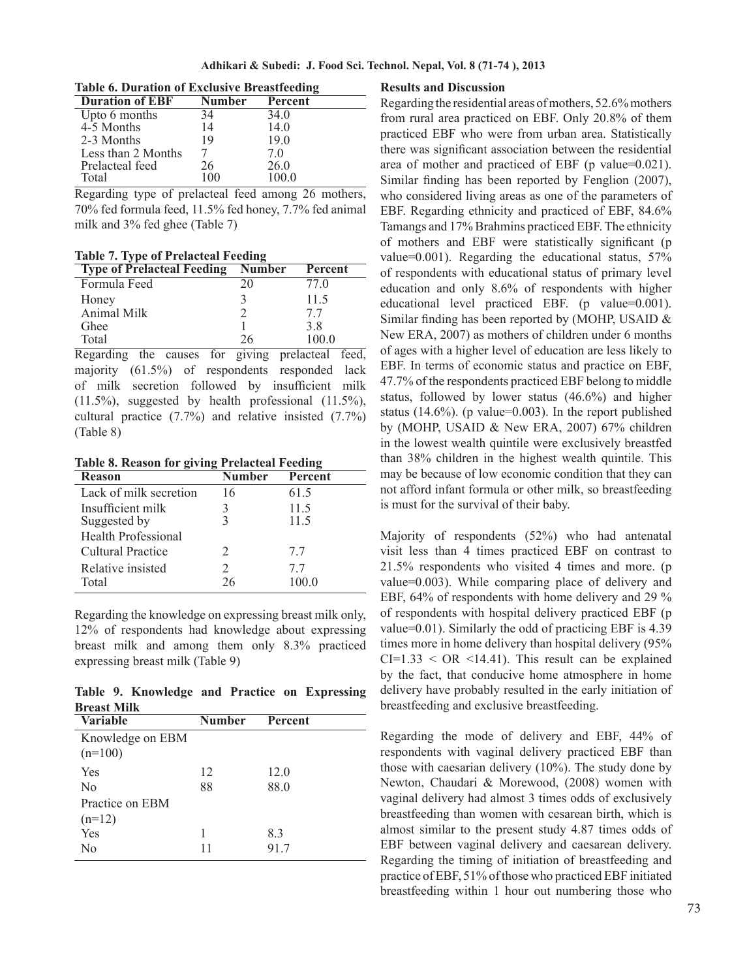| Adhikari & Subedi:  J. Food Sci. Technol. Nepal, Vol. 8 (71-74 ), 2013 |  |  |  |  |  |  |  |  |  |  |  |
|------------------------------------------------------------------------|--|--|--|--|--|--|--|--|--|--|--|
|------------------------------------------------------------------------|--|--|--|--|--|--|--|--|--|--|--|

| THOIC OF D'ALWIION OI EACHADH C' DI CHOICCANNE |         |  |  |  |  |
|------------------------------------------------|---------|--|--|--|--|
| <b>Number</b>                                  | Percent |  |  |  |  |
| 34                                             | 34.0    |  |  |  |  |
| 14                                             | 14.0    |  |  |  |  |
| 19                                             | 19.0    |  |  |  |  |
|                                                | 7 O     |  |  |  |  |
| 26                                             | 26.0    |  |  |  |  |
| 10O                                            | 1000    |  |  |  |  |
|                                                |         |  |  |  |  |

**Table 6. Duration of Exclusive Breastfeeding**

Regarding type of prelacteal feed among 26 mothers, 70% fed formula feed, 11.5% fed honey, 7.7% fed animal milk and 3% fed ghee (Table 7)

**Table 7. Type of Prelacteal Feeding**

| <b>Type of Prelacteal Feeding</b> | <b>Number</b> | Percent |
|-----------------------------------|---------------|---------|
| Formula Feed                      | 20            | 77 Q    |
| Honey                             |               | 11.5    |
| Animal Milk                       |               | 77      |
| <b>Ghee</b>                       |               | 38      |
| Total                             | 26            | 1000    |

Regarding the causes for giving prelacteal feed, majority (61.5%) of respondents responded lack of milk secretion followed by insufficient milk (11.5%), suggested by health professional (11.5%), cultural practice (7.7%) and relative insisted (7.7%) (Table 8)

**Table 8. Reason for giving Prelacteal Feeding**

| <b>Reason</b>              | Number                      | <b>Percent</b> |
|----------------------------|-----------------------------|----------------|
| Lack of milk secretion     | 16                          | 61.5           |
| Insufficient milk          |                             | 11.5           |
| Suggested by               |                             | 11.5           |
| <b>Health Professional</b> |                             |                |
| Cultural Practice          | $\mathcal{D}_{\mathcal{L}}$ | 77             |
| Relative insisted          | $\mathcal{D}_{\mathcal{L}}$ | 77             |
| Total                      | 26                          | 100.0          |
|                            |                             |                |

Regarding the knowledge on expressing breast milk only, 12% of respondents had knowledge about expressing breast milk and among them only 8.3% practiced expressing breast milk (Table 9)

**Table 9. Knowledge and Practice on Expressing Breast Milk**

| <b>Variable</b>  | <b>Number</b> | Percent |
|------------------|---------------|---------|
| Knowledge on EBM |               |         |
| $(n=100)$        |               |         |
| Yes              | 12            | 12.0    |
| N <sub>0</sub>   | 88            | 88.0    |
| Practice on EBM  |               |         |
| $(n=12)$         |               |         |
| Yes              | 1             | 8.3     |
| N <sub>0</sub>   | 11            | 91.7    |

#### **Results and Discussion**

Regarding the residential areas of mothers, 52.6% mothers from rural area practiced on EBF. Only 20.8% of them practiced EBF who were from urban area. Statistically there was significant association between the residential area of mother and practiced of EBF (p value=0.021). Similar finding has been reported by Fenglion (2007), who considered living areas as one of the parameters of EBF. Regarding ethnicity and practiced of EBF, 84.6% Tamangs and 17% Brahmins practiced EBF. The ethnicity of mothers and EBF were statistically significant (p value=0.001). Regarding the educational status, 57% of respondents with educational status of primary level education and only 8.6% of respondents with higher educational level practiced EBF. (p value=0.001). Similar finding has been reported by (MOHP, USAID & New ERA, 2007) as mothers of children under 6 months of ages with a higher level of education are less likely to EBF. In terms of economic status and practice on EBF, 47.7% of the respondents practiced EBF belong to middle status, followed by lower status (46.6%) and higher status  $(14.6\%)$ . (p value=0.003). In the report published by (MOHP, USAID & New ERA, 2007) 67% children in the lowest wealth quintile were exclusively breastfed than 38% children in the highest wealth quintile. This may be because of low economic condition that they can not afford infant formula or other milk, so breastfeeding is must for the survival of their baby.

Majority of respondents (52%) who had antenatal visit less than 4 times practiced EBF on contrast to 21.5% respondents who visited 4 times and more. (p value=0.003). While comparing place of delivery and EBF, 64% of respondents with home delivery and 29 % of respondents with hospital delivery practiced EBF (p value=0.01). Similarly the odd of practicing EBF is 4.39 times more in home delivery than hospital delivery (95%  $CI=1.33 < OR < 14.41$ ). This result can be explained by the fact, that conducive home atmosphere in home delivery have probably resulted in the early initiation of breastfeeding and exclusive breastfeeding.

Regarding the mode of delivery and EBF, 44% of respondents with vaginal delivery practiced EBF than those with caesarian delivery (10%). The study done by Newton, Chaudari & Morewood, (2008) women with vaginal delivery had almost 3 times odds of exclusively breastfeeding than women with cesarean birth, which is almost similar to the present study 4.87 times odds of EBF between vaginal delivery and caesarean delivery. Regarding the timing of initiation of breastfeeding and practice of EBF, 51% of those who practiced EBF initiated breastfeeding within 1 hour out numbering those who